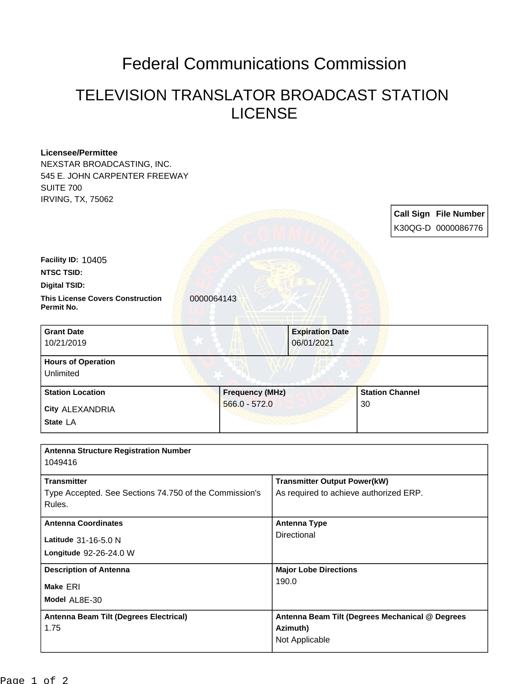## Federal Communications Commission

## TELEVISION TRANSLATOR BROADCAST STATION LICENSE

| <b>Licensee/Permittee</b>                               |                 |                                                 |    |                        |                              |  |
|---------------------------------------------------------|-----------------|-------------------------------------------------|----|------------------------|------------------------------|--|
| NEXSTAR BROADCASTING, INC.                              |                 |                                                 |    |                        |                              |  |
| 545 E. JOHN CARPENTER FREEWAY                           |                 |                                                 |    |                        |                              |  |
| <b>SUITE 700</b>                                        |                 |                                                 |    |                        |                              |  |
| <b>IRVING, TX, 75062</b>                                |                 |                                                 |    |                        |                              |  |
|                                                         |                 |                                                 |    |                        | <b>Call Sign File Number</b> |  |
|                                                         |                 |                                                 |    |                        | K30QG-D 0000086776           |  |
|                                                         |                 |                                                 |    |                        |                              |  |
| Facility ID: 10405                                      |                 |                                                 |    |                        |                              |  |
| <b>NTSC TSID:</b>                                       |                 |                                                 |    |                        |                              |  |
| <b>Digital TSID:</b>                                    |                 |                                                 |    |                        |                              |  |
| <b>This License Covers Construction</b><br>0000064143   |                 |                                                 |    |                        |                              |  |
| Permit No.                                              |                 |                                                 |    |                        |                              |  |
|                                                         |                 |                                                 |    |                        |                              |  |
| <b>Grant Date</b>                                       |                 | <b>Expiration Date</b><br>06/01/2021            |    |                        |                              |  |
| 10/21/2019                                              |                 |                                                 |    |                        |                              |  |
| <b>Hours of Operation</b>                               |                 |                                                 |    |                        |                              |  |
| Unlimited                                               |                 |                                                 |    |                        |                              |  |
| <b>Station Location</b>                                 |                 | <b>Frequency (MHz)</b>                          |    | <b>Station Channel</b> |                              |  |
| City ALEXANDRIA                                         | $566.0 - 572.0$ |                                                 | 30 |                        |                              |  |
| State LA                                                |                 |                                                 |    |                        |                              |  |
|                                                         |                 |                                                 |    |                        |                              |  |
|                                                         |                 |                                                 |    |                        |                              |  |
| <b>Antenna Structure Registration Number</b><br>1049416 |                 |                                                 |    |                        |                              |  |
|                                                         |                 |                                                 |    |                        |                              |  |
| <b>Transmitter</b>                                      |                 | <b>Transmitter Output Power(kW)</b>             |    |                        |                              |  |
| Type Accepted. See Sections 74.750 of the Commission's  |                 | As required to achieve authorized ERP.          |    |                        |                              |  |
| Rules.                                                  |                 |                                                 |    |                        |                              |  |
| <b>Antenna Coordinates</b>                              |                 | <b>Antenna Type</b>                             |    |                        |                              |  |
| Latitude 31-16-5.0 N                                    |                 | Directional                                     |    |                        |                              |  |
| Longitude 92-26-24.0 W                                  |                 |                                                 |    |                        |                              |  |
|                                                         |                 |                                                 |    |                        |                              |  |
| <b>Description of Antenna</b>                           |                 | <b>Major Lobe Directions</b>                    |    |                        |                              |  |
| Make ERI                                                |                 | 190.0                                           |    |                        |                              |  |
| Model AL8E-30                                           |                 |                                                 |    |                        |                              |  |
| Antenna Beam Tilt (Degrees Electrical)                  |                 | Antenna Beam Tilt (Degrees Mechanical @ Degrees |    |                        |                              |  |
| 1.75                                                    |                 | Azimuth)                                        |    |                        |                              |  |
|                                                         |                 | Not Applicable                                  |    |                        |                              |  |